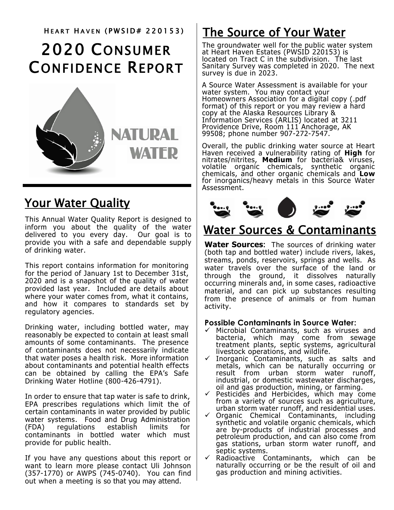# 2020 CONSUMER CONFIDENCE REPORT



## **Your Water Quality**

This Annual Water Quality Report is designed to inform you about the quality of the water delivered to you every day. Our goal is to provide you with a safe and dependable supply of drinking water.

This report contains information for monitoring for the period of January 1st to December 31st, 2020 and is a snapshot of the quality of water provided last year. Included are details about where your water comes from, what it contains, and how it compares to standards set by regulatory agencies.

Drinking water, including bottled water, may reasonably be expected to contain at least small amounts of some contaminants. The presence of contaminants does not necessarily indicate that water poses a health risk. More information about contaminants and potential health effects can be obtained by calling the EPA's Safe Drinking Water Hotline (800-426-4791).

In order to ensure that tap water is safe to drink, EPA prescribes regulations which limit the of certain contaminants in water provided by public water systems. Food and Drug Administration (FDA) regulations establish limits for contaminants in bottled water which must provide for public health.

If you have any questions about this report or want to learn more please contact Uli Johnson (357-1770) or AWPS (745-0740). You can find out when a meeting is so that you may attend.

## HEART HAVEN (PWSID# 220153) | The Source of Your Water

The groundwater well for the public water system at Heart Haven Estates (PWSID 220153) is located on Tract C in the subdivision. The last Sanitary Survey was completed in 2020. The next survey is due in 2023.

A Source Water Assessment is available for your water system. You may contact your Homeowners Association for a digital copy (.pdf format) of this report or you may review a hard copy at the Alaska Resources Library & Information Services (ARLIS) located at 3211 Providence Drive, Room 111 Anchorage, AK 99508; phone number 907-272-7547.

Overall, the public drinking water source at Heart Haven received a vulnerability rating of **High** for nitrates/nitrites, **Medium** for bacteria& viruses, volatile organic chemicals, synthetic organic chemicals, and other organic chemicals and **Low** for inorganics/heavy metals in this Source Water Assessment.



### Water Sources & Contaminants

**Water Sources:** The sources of drinking water (both tap and bottled water) include rivers, lakes, streams, ponds, reservoirs, springs and wells. As water travels over the surface of the land or through the ground, it dissolves naturally occurring minerals and, in some cases, radioactive material, and can pick up substances resulting from the presence of animals or from human activity.

#### **Possible Contaminants in Source Water:**

- ✓ Microbial Contaminants, such as viruses and bacteria, which may come from sewage treatment plants, septic systems, agricultural livestock operations, and wildlife.
- ✓ Inorganic Contaminants, such as salts and metals, which can be naturally occurring or result from urban storm water runoff, industrial, or domestic wastewater discharges, oil and gas production, mining, or farming.
- ✓ Pesticides and Herbicides, which may come from a variety of sources such as agriculture, urban storm water runoff, and residential uses.
- $\checkmark$  Organic Chemical Contaminants, including synthetic and volatile organic chemicals, which are by-products of industrial processes and petroleum production, and can also come from gas stations, urban storm water runoff, and septic systems.
- ✓ Radioactive Contaminants, which can be naturally occurring or be the result of oil and gas production and mining activities.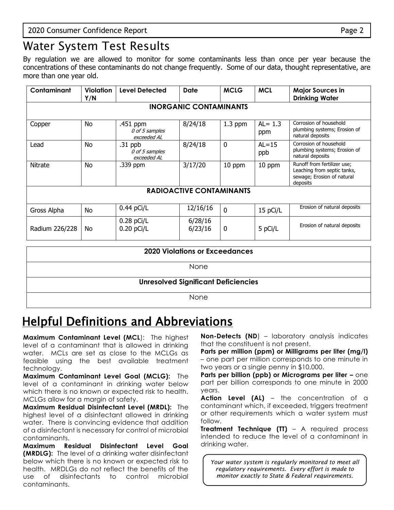## Water System Test Results

By regulation we are allowed to monitor for some contaminants less than once per year because the concentrations of these contaminants do not change frequently. Some of our data, thought representative, are more than one year old.

| Contaminant    | Violation<br>Y/N | <b>Level Detected</b>                      | <b>Date</b>                     | <b>MCLG</b> | <b>MCL</b>        | <b>Major Sources in</b><br><b>Drinking Water</b>                                                     |
|----------------|------------------|--------------------------------------------|---------------------------------|-------------|-------------------|------------------------------------------------------------------------------------------------------|
|                |                  |                                            | <b>INORGANIC CONTAMINANTS</b>   |             |                   |                                                                                                      |
| Copper         | <b>No</b>        | .451 ppm<br>0 of 5 samples<br>exceeded AL  | 8/24/18                         | $1.3$ ppm   | $AL = 1.3$<br>ppm | Corrosion of household<br>plumbing systems; Erosion of<br>natural deposits                           |
| Lead           | No.              | $.31$ ppb<br>0 of 5 samples<br>exceeded AL | 8/24/18                         | 0           | $AL = 15$<br>ppb  | Corrosion of household<br>plumbing systems; Erosion of<br>natural deposits                           |
| Nitrate        | No               | .339 ppm                                   | 3/17/20                         | 10 ppm      | 10 ppm            | Runoff from fertilizer use;<br>Leaching from septic tanks,<br>sewage; Erosion of natural<br>deposits |
|                |                  |                                            | <b>RADIOACTIVE CONTAMINANTS</b> |             |                   |                                                                                                      |
| Gross Alpha    | No.              | $0.44$ pCi/L                               | 12/16/16                        | $\Omega$    | 15 pCi/L          | Erosion of natural deposits                                                                          |
| Radium 226/228 | No.              | $0.28$ pCi/L<br>$0.20$ pCi/L               | 6/28/16<br>6/23/16              | 0           | 5 pCi/L           | Erosion of natural deposits                                                                          |
|                |                  |                                            | $0.000 \text{ M/s}$             |             |                   |                                                                                                      |

| <b>2020 Violations or Exceedances</b>      |
|--------------------------------------------|
| None                                       |
| <b>Unresolved Significant Deficiencies</b> |
| None                                       |

## Helpful Definitions and Abbreviations

**Maximum Contaminant Level (MCL**): The highest level of a contaminant that is allowed in drinking water. MCLs are set as close to the MCLGs as feasible using the best available treatment technology.

**Maximum Contaminant Level Goal (MCLG):** The level of a contaminant in drinking water below which there is no known or expected risk to health. MCLGs allow for a margin of safety.

**Maximum Residual Disinfectant Level (MRDL):** The highest level of a disinfectant allowed in drinking water. There is convincing evidence that addition of a disinfectant is necessary for control of microbial contaminants.

**Maximum Residual Disinfectant Level Goal (MRDLG):** The level of a drinking water disinfectant below which there is no known or expected risk to health. MRDLGs do not reflect the benefits of the use of disinfectants to control microbial contaminants.

**Non-Detects (ND**) – laboratory analysis indicates that the constituent is not present.

**Parts per million (ppm) or Milligrams per liter (mg/l)** – one part per million corresponds to one minute in two years or a single penny in \$10,000.

**Parts per billion (ppb) or Micrograms per liter -** one part per billion corresponds to one minute in 2000 years.

**Action Level (AL)** – the concentration of a contaminant which, if exceeded, triggers treatment or other requirements which a water system must follow.

**Treatment Technique (TT)** – A required process intended to reduce the level of a contaminant in drinking water.

*Your water system is regularly monitored to meet all regulatory requirements. Every effort is made to monitor exactly to State & Federal requirements.*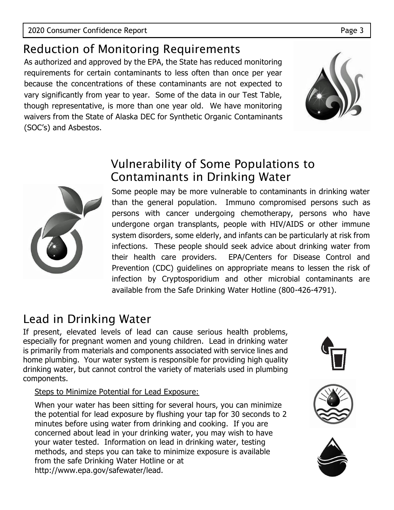## Reduction of Monitoring Requirements

As authorized and approved by the EPA, the State has reduced monitoring requirements for certain contaminants to less often than once per year because the concentrations of these contaminants are not expected to vary significantly from year to year. Some of the data in our Test Table, though representative, is more than one year old. We have monitoring waivers from the State of Alaska DEC for Synthetic Organic Contaminants (SOC's) and Asbestos.





#### Vulnerability of Some Populations to Contaminants in Drinking Water

Some people may be more vulnerable to contaminants in drinking water than the general population. Immuno compromised persons such as persons with cancer undergoing chemotherapy, persons who have undergone organ transplants, people with HIV/AIDS or other immune system disorders, some elderly, and infants can be particularly at risk from infections. These people should seek advice about drinking water from their health care providers. EPA/Centers for Disease Control and Prevention (CDC) guidelines on appropriate means to lessen the risk of infection by Cryptosporidium and other microbial contaminants are available from the Safe Drinking Water Hotline (800-426-4791).

## Lead in Drinking Water

If present, elevated levels of lead can cause serious health problems, especially for pregnant women and young children. Lead in drinking water is primarily from materials and components associated with service lines and home plumbing. Your water system is responsible for providing high quality drinking water, but cannot control the variety of materials used in plumbing components.

#### Steps to Minimize Potential for Lead Exposure:

When your water has been sitting for several hours, you can minimize the potential for lead exposure by flushing your tap for 30 seconds to 2 minutes before using water from drinking and cooking. If you are concerned about lead in your drinking water, you may wish to have your water tested. Information on lead in drinking water, testing methods, and steps you can take to minimize exposure is available from the safe Drinking Water Hotline or at http://www.epa.gov/safewater/lead.